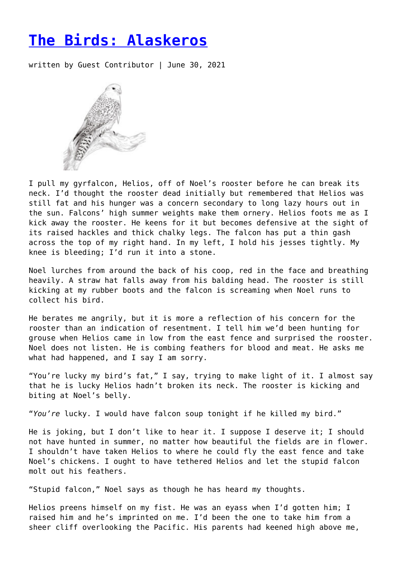## **[The Birds: Alaskeros](https://entropymag.org/the-birds-alaskeros/)**

written by Guest Contributor | June 30, 2021



I pull my gyrfalcon, Helios, off of Noel's rooster before he can break its neck. I'd thought the rooster dead initially but remembered that Helios was still fat and his hunger was a concern secondary to long lazy hours out in the sun. Falcons' high summer weights make them ornery. Helios foots me as I kick away the rooster. He keens for it but becomes defensive at the sight of its raised hackles and thick chalky legs. The falcon has put a thin gash across the top of my right hand. In my left, I hold his jesses tightly. My knee is bleeding; I'd run it into a stone.

Noel lurches from around the back of his coop, red in the face and breathing heavily. A straw hat falls away from his balding head. The rooster is still kicking at my rubber boots and the falcon is screaming when Noel runs to collect his bird.

He berates me angrily, but it is more a reflection of his concern for the rooster than an indication of resentment. I tell him we'd been hunting for grouse when Helios came in low from the east fence and surprised the rooster. Noel does not listen. He is combing feathers for blood and meat. He asks me what had happened, and I say I am sorry.

"You're lucky my bird's fat," I say, trying to make light of it. I almost say that he is lucky Helios hadn't broken its neck. The rooster is kicking and biting at Noel's belly.

"*You're* lucky. I would have falcon soup tonight if he killed my bird."

He is joking, but I don't like to hear it. I suppose I deserve it; I should not have hunted in summer, no matter how beautiful the fields are in flower. I shouldn't have taken Helios to where he could fly the east fence and take Noel's chickens. I ought to have tethered Helios and let the stupid falcon molt out his feathers.

"Stupid falcon," Noel says as though he has heard my thoughts.

Helios preens himself on my fist. He was an eyass when I'd gotten him; I raised him and he's imprinted on me. I'd been the one to take him from a sheer cliff overlooking the Pacific. His parents had keened high above me,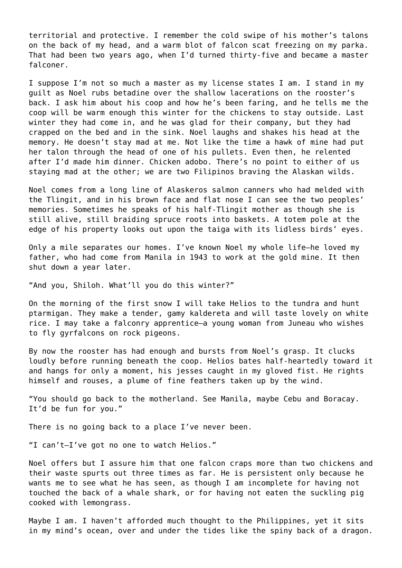territorial and protective. I remember the cold swipe of his mother's talons on the back of my head, and a warm blot of falcon scat freezing on my parka. That had been two years ago, when I'd turned thirty-five and became a master falconer.

I suppose I'm not so much a master as my license states I am. I stand in my guilt as Noel rubs betadine over the shallow lacerations on the rooster's back. I ask him about his coop and how he's been faring, and he tells me the coop will be warm enough this winter for the chickens to stay outside. Last winter they had come in, and he was glad for their company, but they had crapped on the bed and in the sink. Noel laughs and shakes his head at the memory. He doesn't stay mad at me. Not like the time a hawk of mine had put her talon through the head of one of his pullets. Even then, he relented after I'd made him dinner. Chicken adobo. There's no point to either of us staying mad at the other; we are two Filipinos braving the Alaskan wilds.

Noel comes from a long line of Alaskeros salmon canners who had melded with the Tlingit, and in his brown face and flat nose I can see the two peoples' memories. Sometimes he speaks of his half-Tlingit mother as though she is still alive, still braiding spruce roots into baskets. A totem pole at the edge of his property looks out upon the taiga with its lidless birds' eyes.

Only a mile separates our homes. I've known Noel my whole life—he loved my father, who had come from Manila in 1943 to work at the gold mine. It then shut down a year later.

"And you, Shiloh. What'll you do this winter?"

On the morning of the first snow I will take Helios to the tundra and hunt ptarmigan. They make a tender, gamy kaldereta and will taste lovely on white rice. I may take a falconry apprentice—a young woman from Juneau who wishes to fly gyrfalcons on rock pigeons.

By now the rooster has had enough and bursts from Noel's grasp. It clucks loudly before running beneath the coop. Helios bates half-heartedly toward it and hangs for only a moment, his jesses caught in my gloved fist. He rights himself and rouses, a plume of fine feathers taken up by the wind.

"You should go back to the motherland. See Manila, maybe Cebu and Boracay. It'd be fun for you."

There is no going back to a place I've never been.

"I can't—I've got no one to watch Helios."

Noel offers but I assure him that one falcon craps more than two chickens and their waste spurts out three times as far. He is persistent only because he wants me to see what he has seen, as though I am incomplete for having not touched the back of a whale shark, or for having not eaten the suckling pig cooked with lemongrass.

Maybe I am. I haven't afforded much thought to the Philippines, yet it sits in my mind's ocean, over and under the tides like the spiny back of a dragon.